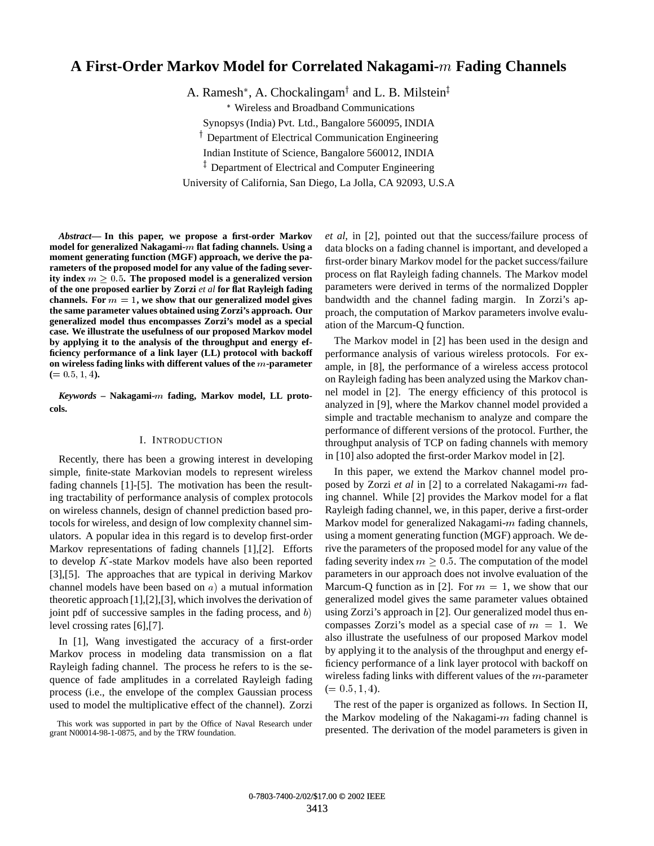# **A First-Order Markov Model for Correlated Nakagami-**<sup>m</sup> **Fading Channels**

A. Ramesh\*, A. Chockalingam<sup>†</sup> and L. B. Milstein<sup>‡</sup>

Wireless and Broadband Communications

Synopsys (India) Pvt. Ltd., Bangalore 560095, INDIA

<sup>†</sup> Department of Electrical Communication Engineering

Indian Institute of Science, Bangalore 560012, INDIA

<sup>+</sup> Department of Electrical and Computer Engineering

University of California, San Diego, La Jolla, CA 92093, U.S.A

*Abstract***— In this paper, we propose a first-order Markov model for generalized Nakagami-**m **flat fading channels. Using a moment generating function (MGF) approach, we derive the parameters of the proposed model for any value of the fading severity index**  $m > 0.5$ . The proposed model is a generalized version **of the one proposed earlier by Zorzi** *et al* **for flat Rayleigh fading** channels. For  $m = 1$ , we show that our generalized model gives **the same parameter values obtained using Zorzi's approach. Our generalized model thus encompasses Zorzi's model as a special case. We illustrate the usefulness of our proposed Markov model by applying it to the analysis of the throughput and energy efficiency performance of a link layer (LL) protocol with backoff on wireless fading links with different values of the** m**-parameter**  $(= 0.5, 1, 4)$ .

*Keywords* **– Nakagami-**<sup>m</sup> **fading, Markov model, LL protocols.**

# I. INTRODUCTION

Recently, there has been a growing interest in developing simple, finite-state Markovian models to represent wireless fading channels [1]-[5]. The motivation has been the resulting tractability of performance analysis of complex protocols on wireless channels, design of channel prediction based protocols for wireless, and design of low complexity channel simulators. A popular idea in this regard is to develop first-order Markov representations of fading channels [1],[2]. Efforts to develop <sup>K</sup>-state Markov models have also been reported [3],[5]. The approaches that are typical in deriving Markov channel models have been based on  $a$ ) a mutual information theoretic approach [1],[2],[3], which involves the derivation of joint pdf of successive samples in the fading process, and  $b$ ) level crossing rates [6],[7].

In [1], Wang investigated the accuracy of a first-order Markov process in modeling data transmission on a flat Rayleigh fading channel. The process he refers to is the sequence of fade amplitudes in a correlated Rayleigh fading process (i.e., the envelope of the complex Gaussian process used to model the multiplicative effect of the channel). Zorzi

This work was supported in part by the Office of Naval Research under grant N00014-98-1-0875, and by the TRW foundation.

*et al*, in [2], pointed out that the success/failure process of data blocks on a fading channel is important, and developed a first-order binary Markov model for the packet success/failure process on flat Rayleigh fading channels. The Markov model parameters were derived in terms of the normalized Doppler bandwidth and the channel fading margin. In Zorzi's approach, the computation of Markov parameters involve evaluation of the Marcum-Q function.

The Markov model in [2] has been used in the design and performance analysis of various wireless protocols. For example, in [8], the performance of a wireless access protocol on Rayleigh fading has been analyzed using the Markov channel model in [2]. The energy efficiency of this protocol is analyzed in [9], where the Markov channel model provided a simple and tractable mechanism to analyze and compare the performance of different versions of the protocol. Further, the throughput analysis of TCP on fading channels with memory in [10] also adopted the first-order Markov model in [2].

In this paper, we extend the Markov channel model proposed by Zorzi *et al* in [2] to a correlated Nakagami-<sup>m</sup> fading channel. While [2] provides the Markov model for a flat Rayleigh fading channel, we, in this paper, derive a first-order Markov model for generalized Nakagami- $m$  fading channels, using a moment generating function (MGF) approach. We derive the parameters of the proposed model for any value of the fading severity index  $m \geq 0.5$ . The computation of the model parameters in our approach does not involve evaluation of the Marcum-Q function as in [2]. For  $m = 1$ , we show that our generalized model gives the same parameter values obtained using Zorzi's approach in [2]. Our generalized model thus encompasses Zorzi's model as a special case of  $m = 1$ . We also illustrate the usefulness of our proposed Markov model by applying it to the analysis of the throughput and energy efficiency performance of a link layer protocol with backoff on wireless fading links with different values of the  $m$ -parameter  $(= 0.5, 1, 4).$ 

The rest of the paper is organized as follows. In Section II, the Markov modeling of the Nakagami- $m$  fading channel is presented. The derivation of the model parameters is given in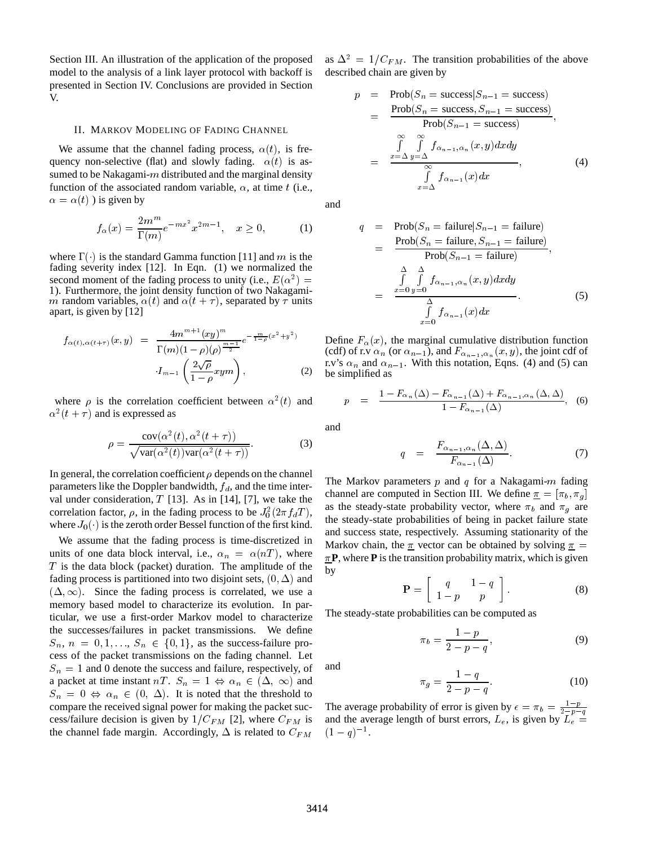Section III. An illustration of the application of the proposed model to the analysis of a link layer protocol with backoff is presented in Section IV. Conclusions are provided in Section V.

# II. MARKOV MODELING OF FADING CHANNEL

We assume that the channel fading process,  $\alpha(t)$ , is frequency non-selective (flat) and slowly fading.  $\alpha(t)$  is assumed to be Nakagami- $m$  distributed and the marginal density function of the associated random variable,  $\alpha$ , at time t (i.e.,  $\alpha = \alpha(t)$ ) is given by

$$
f_{\alpha}(x) = \frac{2m^{m}}{\Gamma(m)} e^{-mx^{2}} x^{2m-1}, \quad x \ge 0,
$$
 (1)

where  $\Gamma(\cdot)$  is the standard Gamma function [11] and m is the fading severity index  $[12]$ . In Eqn.  $(1)$  we normalized the second moment of the fading process to unity (i.e.,  $E(\alpha^2) =$ 1). Furthermore, the joint density function of two Nakagamim random variables,  $\alpha(t)$  and  $\alpha(t + \tau)$ , separated by  $\tau$  units apart, is given by [12]

$$
f_{\alpha(t),\alpha(t+\tau)}(x,y) = \frac{4m^{m+1}(xy)^m}{\Gamma(m)(1-\rho)(\rho)^{\frac{m-1}{2}}}e^{-\frac{m}{1-\rho}(x^2+y^2)}
$$

$$
\cdot I_{m-1}\left(\frac{2\sqrt{\rho}}{1-\rho}xym\right),
$$
(2)

where  $\rho$  is the correlation coefficient between  $\alpha^2(t)$  and  $\alpha^2(t+\tau)$  and is expressed as

$$
\rho = \frac{\text{cov}(\alpha^2(t), \alpha^2(t+\tau))}{\sqrt{\text{var}(\alpha^2(t))\text{var}(\alpha^2(t+\tau))}}.
$$
(3)

In general, the correlation coefficient  $\rho$  depends on the channel parameters like the Doppler bandwidth,  $f_d$ , and the time interval under consideration,  $T$  [13]. As in [14], [7], we take the correlation factor,  $\rho$ , in the fading process to be  $J_0^2(2\pi f_dT)$ , as the where  $J_0(\cdot)$  is the zeroth order Bessel function of the first kind.

We assume that the fading process is time-discretized in units of one data block interval, i.e.,  $\alpha_n = \alpha(nT)$ , where  $T$  is the data block (packet) duration. The amplitude of the fading process is partitioned into two disjoint sets,  $(0, \Delta)$  and  $(\Delta, \infty)$ . Since the fading process is correlated, we use a memory based model to characterize its evolution. In particular, we use a first-order Markov model to characterize the successes/failures in packet transmissions. We define  $S_n$ ,  $n = 0, 1, \ldots, S_n \in \{0, 1\}$ , as the success-failure process of the packet transmissions on the fading channel. Let  $S_n = 1$  and 0 denote the success and failure, respectively, of a packet at time instant nT.  $S_n = 1 \Leftrightarrow \alpha_n \in (\Delta, \infty)$  and  $S_n = 0 \Leftrightarrow \alpha_n \in (0, \Delta)$ . It is noted that the threshold to compare the received signal power for making the packet success/failure decision is given by  $1/C_{FM}$  [2], where  $C_{FM}$  is the channel fade margin. Accordingly,  $\Delta$  is related to  $C_{FM}$ 

as  $\Delta^2 = 1/C_{FM}$ . The transition probabilities of the above described chain are given by

$$
p = \text{Prob}(S_n = \text{success}|S_{n-1} = \text{success})
$$
  
= 
$$
\frac{\text{Prob}(S_n = \text{success}, S_{n-1} = \text{success})}{\text{Prob}(S_{n-1} = \text{success})},
$$
  
= 
$$
\frac{\int_{\alpha}^{\infty} \int_{\alpha}^{\infty} f_{\alpha_{n-1}, \alpha_n}(x, y) dx dy}{\int_{\alpha_{n-1}}^{\infty} f_{\alpha_{n-1}}(x) dx},
$$
(4)

and

$$
q = \text{Prob}(S_n = \text{failure}|S_{n-1} = \text{failure})
$$
  
= 
$$
\frac{\text{Prob}(S_n = \text{failure}, S_{n-1} = \text{failure})}{\text{Prob}(S_{n-1} = \text{failure})},
$$
  
= 
$$
\frac{\int_{\alpha}^{\Delta} \int_{\alpha}^{\Delta} f_{\alpha_{n-1}, \alpha_n}(x, y) dx dy}{\int_{x=0}^{\Delta} f_{\alpha_{n-1}}(x) dx}.
$$
 (5)

Define  $F_{\alpha}(x)$ , the marginal cumulative distribution function (cdf) of r.v  $\alpha_n$  (or  $\alpha_{n-1}$ ), and  $F_{\alpha_{n-1},\alpha_n}(x, y)$ , the joint cdf of r.v's  $\alpha_n$  and  $\alpha_{n-1}$ . With this notation, Eqns. (4) and (5) can be simplified as

$$
p = \frac{1 - F_{\alpha_n}(\Delta) - F_{\alpha_{n-1}}(\Delta) + F_{\alpha_{n-1}, \alpha_n}(\Delta, \Delta)}{1 - F_{\alpha_{n-1}}(\Delta)}, \quad (6)
$$

and

$$
q = \frac{F_{\alpha_{n-1}, \alpha_n}(\Delta, \Delta)}{F_{\alpha_{n-1}}(\Delta)}.
$$
 (7)

The Markov parameters  $p$  and  $q$  for a Nakagami- $m$  fading channel are computed in Section III. We define  $\pi = [\pi_b, \pi_a]$ as the steady-state probability vector, where  $\pi_b$  and  $\pi_a$  are the steady-state probabilities of being in packet failure state and success state, respectively. Assuming stationarity of the Markov chain, the  $\pi$  vector can be obtained by solving  $\pi$  =  $\pi$ **P**, where **P** is the transition probability matrix, which is given by

$$
\mathbf{P} = \left[ \begin{array}{cc} q & 1-q \\ 1-p & p \end{array} \right]. \tag{8}
$$

The steady-state probabilities can be computed as

$$
\pi_b = \frac{1-p}{2-p-q},
$$
\n(9)

and

$$
\pi_g = \frac{1 - q}{2 - p - q}.\tag{10}
$$

The average probability of error is given by  $\epsilon = \pi_b = \frac{1-p}{2-p-q}$  and the average length of burst errors,  $L_e$ , is given by  $L_e =$  $(1 - q)^{-1}$ .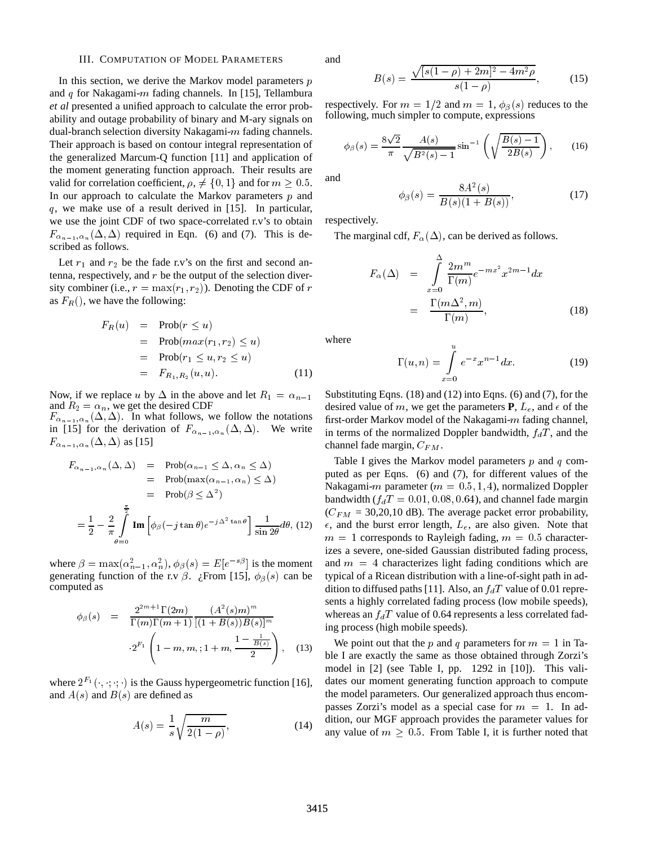## III. COMPUTATION OF MODEL PARAMETERS

In this section, we derive the Markov model parameters  $p$ and  $q$  for Nakagami- $m$  fading channels. In [15], Tellambura *et al* presented a unified approach to calculate the error probability and outage probability of binary and M-ary signals on dual-branch selection diversity Nakagami-m fading channels. Their approach is based on contour integral representation of the generalized Marcum-Q function [11] and application of the moment generating function approach. Their results are valid for correlation coefficient,  $\rho$ ,  $\neq$  {0, 1} and for  $m > 0.5$ . In our approach to calculate the Markov parameters  $p$  and q, we make use of a result derived in [15]. In particular, we use the joint CDF of two space-correlated r.v's to obtain  $F_{\alpha_{n-1}, \alpha_n}(\Delta, \Delta)$  required in Eqn. (6) and (7). This is described as follows.

Let  $r_1$  and  $r_2$  be the fade r.v's on the first and second antenna, respectively, and r be the output of the selection diversity combiner (i.e.,  $r = \max(r_1, r_2)$ ). Denoting the CDF of r as  $F_R()$ , we have the following:

$$
F_R(u) = \text{Prob}(r \le u)
$$
  
=  $\text{Prob}(max(r_1, r_2) \le u)$   
=  $\text{Prob}(r_1 \le u, r_2 \le u)$   
=  $F_{R_1, R_2}(u, u)$ . (11)

Now, if we replace u by  $\Delta$  in the above and let  $R_1 = \alpha_{n-1}$ and  $R_2 = \alpha_n$ , we get the desired CDF

 $F_{\alpha_{n-1},\alpha_n}(\Delta,\Delta)$ . In what follows, we follow the notations in [15] for the derivation of  $F_{\alpha_{n-1},\alpha_n}(\Delta,\Delta)$ . We write  $F_{\alpha_{n-1},\alpha_n}(\Delta,\Delta)$  as [15]

$$
F_{\alpha_{n-1},\alpha_n}(\Delta,\Delta) = \text{Prob}(\alpha_{n-1} \leq \Delta, \alpha_n \leq \Delta)
$$
  
\n
$$
= \text{Prob}(\max(\alpha_{n-1}, \alpha_n) \leq \Delta)
$$
  
\n
$$
= \text{Prob}(\beta \leq \Delta^2)
$$
  
\n
$$
= \frac{1}{2} - \frac{2}{\pi} \int_{\theta=0}^{\frac{\pi}{2}} \text{Im} \left[ \phi_\beta(-j \tan \theta) e^{-j\Delta^2 \tan \theta} \right] \frac{1}{\sin 2\theta} d\theta, (12)
$$

where  $\beta = \max(\alpha_{n-1}^2, \alpha_n^2), \phi_\beta(s) = E[e^{-s\beta}]$  is the moment generating function of the r.v  $\beta$ . ¿From [15],  $\phi_{\beta}(s)$  can be computed as

$$
\phi_{\beta}(s) = \frac{2^{2m+1} \Gamma(2m)}{\Gamma(m) \Gamma(m+1)} \frac{(A^2(s)m)^m}{[(1+B(s))B(s)]^m}
$$
 \nwhere\n
$$
2^{F_1} \left(1 - m, m, 1 + m, \frac{1 - \frac{1}{B(s)}}{2}\right),
$$
\n(13) \nWe have:\n
$$
2^{F_1} \left(1 - m, m, 1 + m, \frac{1 - \frac{1}{B(s)}}{2}\right),
$$
\n(14)

where  $2^{F_1}(\cdot, \cdot, \cdot)$  is the Gauss hypergeometric function [16], and  $A(s)$  and  $B(s)$  are defined as

$$
A(s) = \frac{1}{s} \sqrt{\frac{m}{2(1-\rho)}},
$$
\n(14)

and

$$
B(s) = \frac{\sqrt{[s(1-\rho) + 2m]^2 - 4m^2\rho}}{s(1-\rho)},
$$
 (15)

respectively. For  $m = 1/2$  and  $m = 1$ ,  $\phi_{\beta}(s)$  reduces to the following, much simpler to compute, expressions

$$
\phi_{\beta}(s) = \frac{8\sqrt{2}}{\pi} \frac{A(s)}{\sqrt{B^2(s) - 1}} \sin^{-1} \left( \sqrt{\frac{B(s) - 1}{2B(s)}} \right), \quad (16)
$$

and

$$
\phi_{\beta}(s) = \frac{8A^2(s)}{B(s)(1+B(s))},\tag{17}
$$

respectively.

The marginal cdf,  $F_{\alpha}(\Delta)$ , can be derived as follows.

$$
F_{\alpha}(\Delta) = \int_{x=0}^{\Delta} \frac{2m^{m}}{\Gamma(m)} e^{-mx^{2}} x^{2m-1} dx
$$

$$
= \frac{\Gamma(m\Delta^{2}, m)}{\Gamma(m)}, \qquad (18)
$$

where

$$
\Gamma(u,n) = \int_{x=0}^{u} e^{-x} x^{n-1} dx.
$$
 (19)

Substituting Eqns.  $(18)$  and  $(12)$  into Eqns.  $(6)$  and  $(7)$ , for the desired value of m, we get the parameters **P**,  $L_e$ , and  $\epsilon$  of the first-order Markov model of the Nakagami-m fading channel, in terms of the normalized Doppler bandwidth,  $f_dT$ , and the channel fade margin,  $C_{FM}$ .

Table I gives the Markov model parameters  $p$  and  $q$  computed as per Eqns. (6) and (7), for different values of the Nakagami-m parameter ( $m = 0.5, 1, 4$ ), normalized Doppler bandwidth ( $f_dT = 0.01, 0.08, 0.64$ ), and channel fade margin  $(C_{FM} = 30,20,10$  dB). The average packet error probability,  $\epsilon$ , and the burst error length,  $L_e$ , are also given. Note that  $m = 1$  corresponds to Rayleigh fading,  $m = 0.5$  characterizes a severe, one-sided Gaussian distributed fading process, and  $m = 4$  characterizes light fading conditions which are typical of a Ricean distribution with a line-of-sight path in addition to diffused paths [11]. Also, an  $f_dT$  value of 0.01 represents a highly correlated fading process (low mobile speeds), whereas an  $f_dT$  value of 0.64 represents a less correlated fading process (high mobile speeds).

We point out that the p and q parameters for  $m = 1$  in Table I are exactly the same as those obtained through Zorzi's model in [2] (see Table I, pp. 1292 in [10]). This validates our moment generating function approach to compute the model parameters. Our generalized approach thus encompasses Zorzi's model as a special case for  $m = 1$ . In addition, our MGF approach provides the parameter values for any value of  $m \geq 0.5$ . From Table I, it is further noted that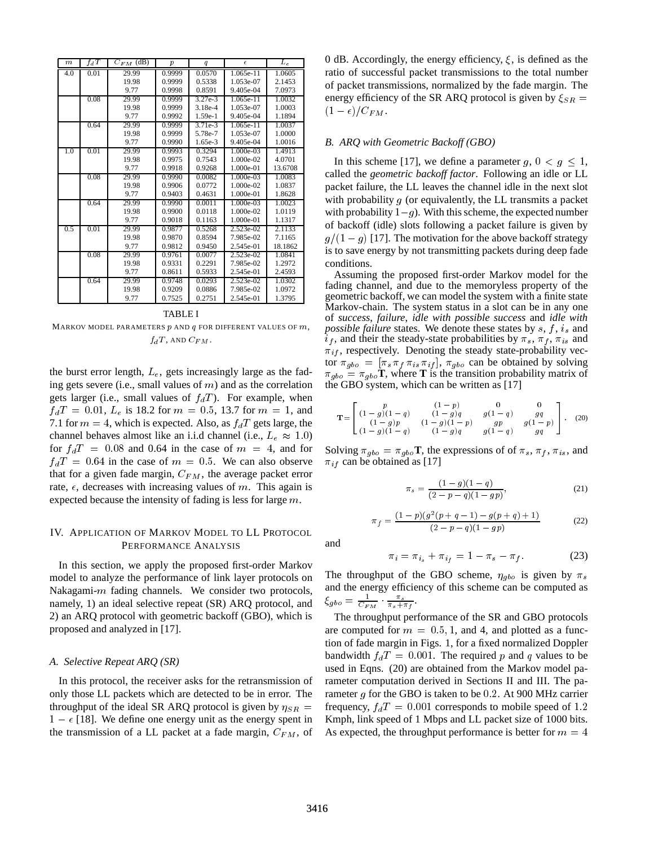| $\boldsymbol{m}$ | $f_dT$ | $C_{FM}$ (dB) | $\boldsymbol{p}$ | q         | $\epsilon$  | $\overline{L}_e$ |
|------------------|--------|---------------|------------------|-----------|-------------|------------------|
| 4.0              | 0.01   | 29.99         | 0.9999           | 0.0570    | 1.065e-11   | 1.0605           |
|                  |        | 19.98         | 0.9999           | 0.5338    | 1.053e-07   | 2.1453           |
|                  |        | 9.77          | 0.9998           | 0.8591    | 9.405e-04   | 7.0973           |
|                  | 0.08   | 29.99         | 0.9999           | $3.27e-3$ | 1.065e-11   | 1.0032           |
|                  |        | 19.98         | 0.9999           | $3.18e-4$ | 1.053e-07   | 1.0003           |
|                  |        | 9.77          | 0.9992           | $1.59e-1$ | 9.405e-04   | 1.1894           |
|                  | 0.64   | 29.99         | 0.9999           | $3.71e-3$ | 1.065e-11   | 1.0037           |
|                  |        | 19.98         | 0.9999           | 5.78e-7   | 1.053e-07   | 1.0000           |
|                  |        | 9.77          | 0.9990           | 1.65e-3   | 9.405e-04   | 1.0016           |
| 1.0              | 0.01   | 29.99         | 0.9993           | 0.3294    | 1.000e-03   | 1.4913           |
|                  |        | 19.98         | 0.9975           | 0.7543    | 1.000e-02   | 4.0701           |
|                  |        | 9.77          | 0.9918           | 0.9268    | 1.000e-01   | 13.6708          |
|                  | 0.08   | 29.99         | 0.9990           | 0.0082    | 1.000e-03   | 1.0083           |
|                  |        | 19.98         | 0.9906           | 0.0772    | 1.000e-02   | 1.0837           |
|                  |        | 9.77          | 0.9403           | 0.4631    | 1.000e-01   | 1.8628           |
|                  | 0.64   | 29.99         | 0.9990           | 0.0011    | $1.000e-03$ | 1.0023           |
|                  |        | 19.98         | 0.9900           | 0.0118    | 1.000e-02   | 1.0119           |
|                  |        | 9.77          | 0.9018           | 0.1163    | 1.000e-01   | 1.1317           |
| 0.5              | 0.01   | 29.99         | 0.9877           | 0.5268    | 2.523e-02   | 2.1133           |
|                  |        | 19.98         | 0.9870           | 0.8594    | 7.985e-02   | 7.1165           |
|                  |        | 9.77          | 0.9812           | 0.9450    | 2.545e-01   | 18.1862          |
|                  | 0.08   | 29.99         | 0.9761           | 0.0077    | 2.523e-02   | 1.0841           |
|                  |        | 19.98         | 0.9331           | 0.2291    | 7.985e-02   | 1.2972           |
|                  |        | 9.77          | 0.8611           | 0.5933    | 2.545e-01   | 2.4593           |
|                  | 0.64   | 29.99         | 0.9748           | 0.0293    | $2.523e-02$ | 1.0302           |
|                  |        | 19.98         | 0.9209           | 0.0886    | 7.985e-02   | 1.0972           |
|                  |        | 9.77          | 0.7525           | 0.2751    | 2.545e-01   | 1.3795           |

#### TABLE I

MARKOV MODEL PARAMETERS  $p$  and  $q$  for different values of  $m$ ,  $f_dT$ , AND  $C_{FM}$ .

the burst error length,  $L_e$ , gets increasingly large as the fading gets severe (i.e., small values of  $m$ ) and as the correlation gets larger (i.e., small values of  $f_dT$ ). For example, when  $f_dT = 0.01$ ,  $L_e$  is 18.2 for  $m = 0.5$ , 13.7 for  $m = 1$ , and 7.1 for  $m = 4$ , which is expected. Also, as  $f_dT$  gets large, the channel behaves almost like an i.i.d channel (i.e.,  $L_e \approx 1.0$ ) for  $f_dT = 0.08$  and 0.64 in the case of  $m = 4$ , and for  $f_dT = 0.64$  in the case of  $m = 0.5$ . We can also observe that for a given fade margin,  $C_{FM}$ , the average packet error rate,  $\epsilon$ , decreases with increasing values of m. This again is expected because the intensity of fading is less for large <sup>m</sup>.

# IV. APPLICATION OF MARKOV MODEL TO LL PROTOCOL PERFORMANCE ANALYSIS

In this section, we apply the proposed first-order Markov model to analyze the performance of link layer protocols on Nakagami- $m$  fading channels. We consider two protocols, namely, 1) an ideal selective repeat (SR) ARQ protocol, and 2)an ARQ protocol with geometric backoff (GBO), which is proposed and analyzed in [17].

# *A. Selective Repeat ARQ (SR)*

In this protocol, the receiver asks for the retransmission of only those LL packets which are detected to be in error. The throughput of the ideal SR ARQ protocol is given by  $\eta_{SR}$  =  $1 - \epsilon$  [18]. We define one energy unit as the energy spent in the transmission of a LL packet at a fade margin,  $C_{FM}$ , of 0 dB. Accordingly, the energy efficiency,  $\xi$ , is defined as the ratio of successful packet transmissions to the total number of packet transmissions, normalized by the fade margin. The energy efficiency of the SR ARQ protocol is given by  $\xi_{SR}$  =  $(1 - \epsilon)/C_{FM}.$ .

## *B. ARQ with Geometric Backoff (GBO)*

In this scheme [17], we define a parameter  $g, 0 < g \leq 1$ , called the *geometric backoff factor*. Following an idle or LL packet failure, the LL leaves the channel idle in the next slot with probability  $g$  (or equivalently, the LL transmits a packet with probability  $1-g$ ). With this scheme, the expected number of backoff (idle) slots following a packet failure is given by  $g/(1 - g)$  [17]. The motivation for the above backoff strategy is to save energy by not transmitting packets during deep fade conditions.

Assuming the proposed first-order Markov model for the fading channel, and due to the memoryless property of the geometric backoff, we can model the system with a finite state Markov-chain. The system status in a slot can be in any one of *success*, *failure*, *idle with possible success* and *idle with possible failure* states. We denote these states by  $s, f, i_s$  and  $i_f$ , and their the steady-state probabilities by  $\pi_s$ ,  $\pi_f$ ,  $\pi_{is}$  and  $\pi_{if}$ , respectively. Denoting the steady state-probability vector  $\pi_{gbo} = [\pi_s \pi_f \pi_{is} \pi_{if}], \pi_{gbo}$  can be obtained by solving  $\pi_{gbo} = \pi_{gbo}$ **T**, where **T** is the transition probability matrix of the GBO system, which can be written as [17]

$$
\mathbf{T} = \begin{bmatrix} p & (1-p) & 0 & 0 \\ (1-g)(1-q) & (1-g)q & g(1-q) & gq \\ (1-g)p & (1-g)(1-p) & gp & gp \\ (1-g)(1-q) & (1-g)q & g(1-q) & gq \end{bmatrix} . \tag{20}
$$

Solving  $\pi_{gbo} = \pi_{gbo}$ **T**, the expressions of of  $\pi_s$ ,  $\pi_f$ ,  $\pi_{is}$ , and  $\pi_{if}$  can be obtained as [17]

$$
\pi_s = \frac{(1-g)(1-q)}{(2-p-q)(1-gp)},\tag{21}
$$

$$
\pi_f = \frac{(1-p)(g^2(p+q-1) - g(p+q) + 1)}{(2-p-q)(1-gp)}\tag{22}
$$

and

i

$$
\tau_i = \pi_{i_s} + \pi_{i_f} = 1 - \pi_s - \pi_f. \tag{23}
$$

The throughput of the GBO scheme,  $\eta_{gbo}$  is given by  $\pi_s$ and the energy efficiency of this scheme can be computed as  $\xi_{gbo} = \frac{1}{C_{FM}} \cdot \frac{\pi_s}{\pi_s + \pi_f}.$ 

The throughput performance of the SR and GBO protocols are computed for  $m = 0.5, 1$ , and 4, and plotted as a function of fade margin in Figs. 1, for a fixed normalized Doppler bandwidth  $f_dT = 0.001$ . The required p and q values to be used in Eqns. (20) are obtained from the Markov model parameter computation derived in Sections II and III. The parameter  $g$  for the GBO is taken to be 0.2. At 900 MHz carrier frequency,  $f_dT = 0.001$  corresponds to mobile speed of 1.2 Kmph, link speed of 1 Mbps and LL packet size of 1000 bits. As expected, the throughput performance is better for  $m = 4$